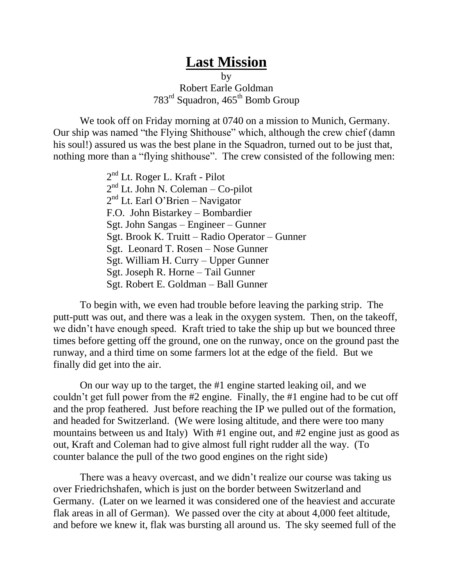## **Last Mission**

by Robert Earle Goldman 783rd Squadron, 465th Bomb Group

We took off on Friday morning at 0740 on a mission to Munich, Germany. Our ship was named "the Flying Shithouse" which, although the crew chief (damn his soul!) assured us was the best plane in the Squadron, turned out to be just that, nothing more than a "flying shithouse". The crew consisted of the following men:

> 2<sup>nd</sup> Lt. Roger L. Kraft - Pilot 2<sup>nd</sup> Lt. John N. Coleman – Co-pilot 2<sup>nd</sup> Lt. Earl O'Brien - Navigator F.O. John Bistarkey – Bombardier Sgt. John Sangas – Engineer – Gunner Sgt. Brook K. Truitt – Radio Operator – Gunner Sgt. Leonard T. Rosen – Nose Gunner Sgt. William H. Curry – Upper Gunner Sgt. Joseph R. Horne – Tail Gunner Sgt. Robert E. Goldman – Ball Gunner

To begin with, we even had trouble before leaving the parking strip. The putt-putt was out, and there was a leak in the oxygen system. Then, on the takeoff, we didn't have enough speed. Kraft tried to take the ship up but we bounced three times before getting off the ground, one on the runway, once on the ground past the runway, and a third time on some farmers lot at the edge of the field. But we finally did get into the air.

On our way up to the target, the #1 engine started leaking oil, and we couldn't get full power from the #2 engine. Finally, the #1 engine had to be cut off and the prop feathered. Just before reaching the IP we pulled out of the formation, and headed for Switzerland. (We were losing altitude, and there were too many mountains between us and Italy) With #1 engine out, and #2 engine just as good as out, Kraft and Coleman had to give almost full right rudder all the way. (To counter balance the pull of the two good engines on the right side)

There was a heavy overcast, and we didn't realize our course was taking us over Friedrichshafen, which is just on the border between Switzerland and Germany. (Later on we learned it was considered one of the heaviest and accurate flak areas in all of German). We passed over the city at about 4,000 feet altitude, and before we knew it, flak was bursting all around us. The sky seemed full of the